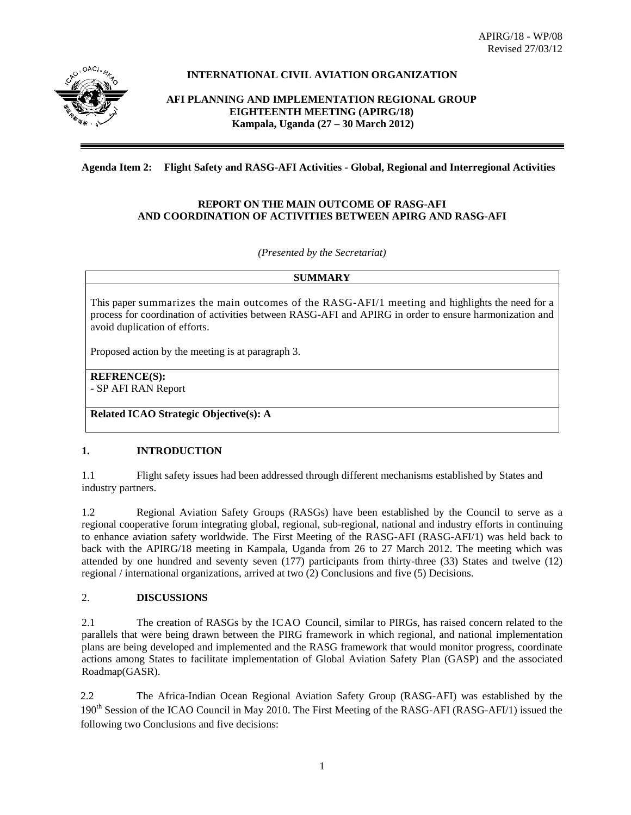

# **INTERNATIONAL CIVIL AVIATION ORGANIZATION**

**AFI PLANNING AND IMPLEMENTATION REGIONAL GROUP EIGHTEENTH MEETING (APIRG/18) Kampala, Uganda (27 – 30 March 2012)**

### **Agenda Item 2: Flight Safety and RASG-AFI Activities - Global, Regional and Interregional Activities**

#### **REPORT ON THE MAIN OUTCOME OF RASG-AFI AND COORDINATION OF ACTIVITIES BETWEEN APIRG AND RASG-AFI**

*(Presented by the Secretariat)* 

#### **SUMMARY**

This paper summarizes the main outcomes of the RASG-AFI/1 meeting and highlights the need for a process for coordination of activities between RASG-AFI and APIRG in order to ensure harmonization and avoid duplication of efforts.

Proposed action by the meeting is at paragraph 3.

**REFRENCE(S):**  - SP AFI RAN Report

**Related ICAO Strategic Objective(s): A** 

# **1. INTRODUCTION**

1.1 Flight safety issues had been addressed through different mechanisms established by States and industry partners.

1.2 Regional Aviation Safety Groups (RASGs) have been established by the Council to serve as a regional cooperative forum integrating global, regional, sub-regional, national and industry efforts in continuing to enhance aviation safety worldwide. The First Meeting of the RASG-AFI (RASG-AFI/1) was held back to back with the APIRG/18 meeting in Kampala, Uganda from 26 to 27 March 2012. The meeting which was attended by one hundred and seventy seven (177) participants from thirty-three (33) States and twelve (12) regional / international organizations, arrived at two (2) Conclusions and five (5) Decisions.

# 2. **DISCUSSIONS**

2.1 The creation of RASGs by the ICAO Council, similar to PIRGs, has raised concern related to the parallels that were being drawn between the PIRG framework in which regional, and national implementation plans are being developed and implemented and the RASG framework that would monitor progress, coordinate actions among States to facilitate implementation of Global Aviation Safety Plan (GASP) and the associated Roadmap(GASR).

2.2 The Africa-Indian Ocean Regional Aviation Safety Group (RASG-AFI) was established by the 190<sup>th</sup> Session of the ICAO Council in May 2010. The First Meeting of the RASG-AFI (RASG-AFI/1) issued the following two Conclusions and five decisions: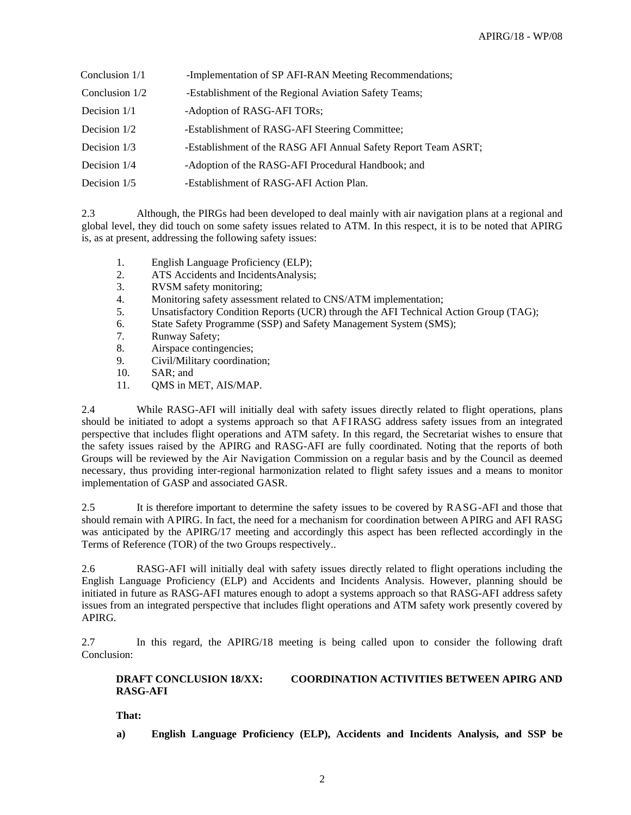| Conclusion $1/1$ | -Implementation of SP AFI-RAN Meeting Recommendations;         |
|------------------|----------------------------------------------------------------|
| Conclusion 1/2   | -Establishment of the Regional Aviation Safety Teams;          |
| Decision 1/1     | -Adoption of RASG-AFI TORs;                                    |
| Decision 1/2     | -Establishment of RASG-AFI Steering Committee;                 |
| Decision 1/3     | -Establishment of the RASG AFI Annual Safety Report Team ASRT; |
| Decision 1/4     | -Adoption of the RASG-AFI Procedural Handbook; and             |
| Decision 1/5     | -Establishment of RASG-AFI Action Plan.                        |

2.3 Although, the PIRGs had been developed to deal mainly with air navigation plans at a regional and global level, they did touch on some safety issues related to ATM. In this respect, it is to be noted that APIRG is, as at present, addressing the following safety issues:

- 1. English Language Proficiency (ELP);
- 2. ATS Accidents and IncidentsAnalysis;
- 3. RVSM safety monitoring;
- 4. Monitoring safety assessment related to CNS/ATM implementation;
- 5. Unsatisfactory Condition Reports (UCR) through the AFI Technical Action Group (TAG);
- 6. State Safety Programme (SSP) and Safety Management System (SMS);
- 7. Runway Safety;
- 8. Airspace contingencies;
- 9. Civil/Military coordination;
- 10. SAR; and
- 11. QMS in MET, AIS/MAP.

2.4 While RASG-AFI will initially deal with safety issues directly related to flight operations, plans should be initiated to adopt a systems approach so that AF I RASG address safety issues from an integrated perspective that includes flight operations and ATM safety. In this regard, the Secretariat wishes to ensure that the safety issues raised by the APIRG and RASG-AFI are fully coordinated. Noting that the reports of both Groups will be reviewed by the Air Navigation Commission on a regular basis and by the Council as deemed necessary, thus providing inter-regional harmonization related to flight safety issues and a means to monitor implementation of GASP and associated GASR.

2.5 It is therefore important to determine the safety issues to be covered by RASG-AFI and those that should remain with APIRG. In fact, the need for a mechanism for coordination between APIRG and AFI RASG was anticipated by the APIRG/17 meeting and accordingly this aspect has been reflected accordingly in the Terms of Reference (TOR) of the two Groups respectively..

2.6 RASG-AFI will initially deal with safety issues directly related to flight operations including the English Language Proficiency (ELP) and Accidents and Incidents Analysis. However, planning should be initiated in future as RASG-AFI matures enough to adopt a systems approach so that RASG-AFI address safety issues from an integrated perspective that includes flight operations and ATM safety work presently covered by APIRG.

2.7 In this regard, the APIRG/18 meeting is being called upon to consider the following draft Conclusion:

## **DRAFT CONCLUSION 18/XX: COORDINATION ACTIVITIES BETWEEN APIRG AND RASG-AFI**

**That:** 

**a) English Language Proficiency (ELP), Accidents and Incidents Analysis, and SSP be**